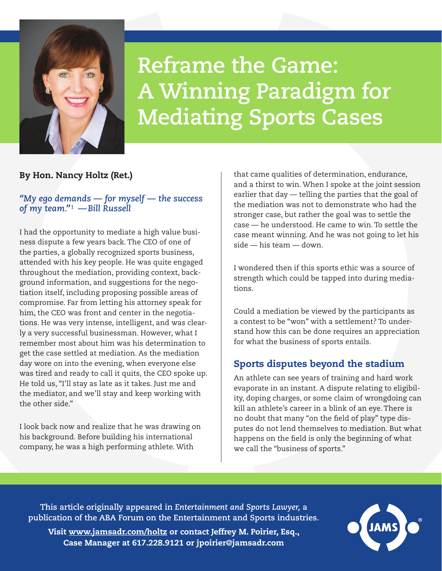

# **Reframe the Game: A Winning Paradigm for Mediating Sports Cases**

## By Hon. Nancy Holtz (Ret.)

#### *"My ego demands — for myself — the success of my team."1 —Bill Russell*

I had the opportunity to mediate a high value business dispute a few years back. The CEO of one of the parties, a globally recognized sports business, attended with his key people. He was quite engaged throughout the mediation, providing context, background information, and suggestions for the negotiation itself, including proposing possible areas of compromise. Far from letting his attorney speak for him, the CEO was front and center in the negotiations. He was very intense, intelligent, and was clearly a very successful businessman. However, what I remember most about him was his determination to get the case settled at mediation. As the mediation day wore on into the evening, when everyone else was tired and ready to call it quits, the CEO spoke up. He told us, "I'll stay as late as it takes. Just me and the mediator, and we'll stay and keep working with the other side."

I look back now and realize that he was drawing on his background. Before building his international company, he was a high performing athlete. With

that came qualities of determination, endurance, and a thirst to win. When I spoke at the joint session earlier that day — telling the parties that the goal of the mediation was not to demonstrate who had the stronger case, but rather the goal was to settle the case — he understood. He came to win. To settle the case meant winning. And he was not going to let his side — his team — down.

I wondered then if this sports ethic was a source of strength which could be tapped into during mediations.

Could a mediation be viewed by the participants as a contest to be "won" with a settlement? To understand how this can be done requires an appreciation for what the business of sports entails.

# Sports disputes beyond the stadium

An athlete can see years of training and hard work evaporate in an instant. A dispute relating to eligibility, doping charges, or some claim of wrongdoing can kill an athlete's career in a blink of an eye. There is no doubt that many "on the field of play" type disputes do not lend themselves to mediation. But what happens on the field is only the beginning of what we call the "business of sports."

**This article originally appeared in** *Entertainment and Sports Lawyer,* **a publication of the ABA Forum on the Entertainment and Sports industries.**

Visit [www.jamsadr.com/holtz](https://www.jamsadr.com/holtz/) or contact Jeffrey M. Poirier, Esq., Case Manager at 617.228.9121 or jpoirie[r@jamsadr.com](mailto:alieu%40jamsadr.com?subject=)

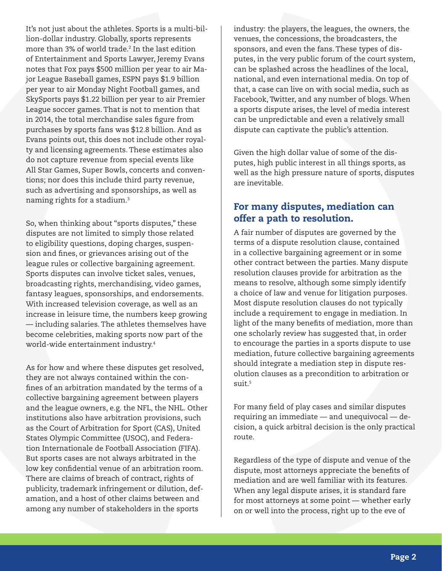It's not just about the athletes. Sports is a multi-billion-dollar industry. Globally, sports represents more than 3% of world trade.<sup>2</sup> In the last edition of Entertainment and Sports Lawyer, Jeremy Evans notes that Fox pays \$500 million per year to air Major League Baseball games, ESPN pays \$1.9 billion per year to air Monday Night Football games, and SkySports pays \$1.22 billion per year to air Premier League soccer games. That is not to mention that in 2014, the total merchandise sales figure from purchases by sports fans was \$12.8 billion. And as Evans points out, this does not include other royalty and licensing agreements. These estimates also do not capture revenue from special events like All Star Games, Super Bowls, concerts and conventions; nor does this include third party revenue, such as advertising and sponsorships, as well as naming rights for a stadium.3

So, when thinking about "sports disputes," these disputes are not limited to simply those related to eligibility questions, doping charges, suspension and fines, or grievances arising out of the league rules or collective bargaining agreement. Sports disputes can involve ticket sales, venues, broadcasting rights, merchandising, video games, fantasy leagues, sponsorships, and endorsements. With increased television coverage, as well as an increase in leisure time, the numbers keep growing — including salaries. The athletes themselves have become celebrities, making sports now part of the world-wide entertainment industry.4

As for how and where these disputes get resolved, they are not always contained within the confines of an arbitration mandated by the terms of a collective bargaining agreement between players and the league owners, e.g. the NFL, the NHL. Other institutions also have arbitration provisions, such as the Court of Arbitration for Sport (CAS), United States Olympic Committee (USOC), and Federation Internationale de Football Association (FIFA). But sports cases are not always arbitrated in the low key confidential venue of an arbitration room. There are claims of breach of contract, rights of publicity, trademark infringement or dilution, defamation, and a host of other claims between and among any number of stakeholders in the sports

industry: the players, the leagues, the owners, the venues, the concessions, the broadcasters, the sponsors, and even the fans. These types of disputes, in the very public forum of the court system, can be splashed across the headlines of the local, national, and even international media. On top of that, a case can live on with social media, such as Facebook, Twitter, and any number of blogs. When a sports dispute arises, the level of media interest can be unpredictable and even a relatively small dispute can captivate the public's attention.

Given the high dollar value of some of the disputes, high public interest in all things sports, as well as the high pressure nature of sports, disputes are inevitable.

### For many disputes, mediation can offer a path to resolution.

A fair number of disputes are governed by the terms of a dispute resolution clause, contained in a collective bargaining agreement or in some other contract between the parties. Many dispute resolution clauses provide for arbitration as the means to resolve, although some simply identify a choice of law and venue for litigation purposes. Most dispute resolution clauses do not typically include a requirement to engage in mediation. In light of the many benefits of mediation, more than one scholarly review has suggested that, in order to encourage the parties in a sports dispute to use mediation, future collective bargaining agreements should integrate a mediation step in dispute resolution clauses as a precondition to arbitration or  $s$ uit<sup>5</sup>

For many field of play cases and similar disputes requiring an immediate — and unequivocal — decision, a quick arbitral decision is the only practical route.

Regardless of the type of dispute and venue of the dispute, most attorneys appreciate the benefits of mediation and are well familiar with its features. When any legal dispute arises, it is standard fare for most attorneys at some point — whether early on or well into the process, right up to the eve of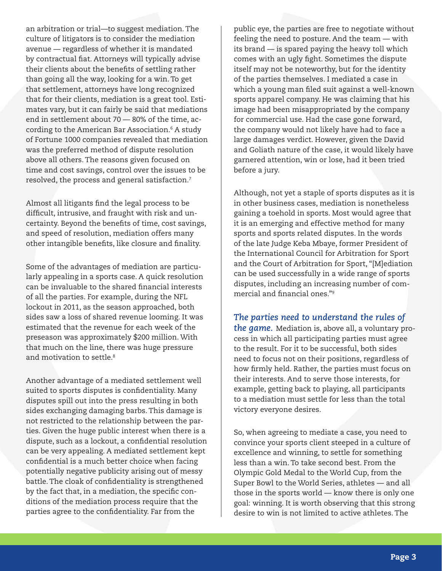an arbitration or trial—to suggest mediation. The culture of litigators is to consider the mediation avenue — regardless of whether it is mandated by contractual fiat. Attorneys will typically advise their clients about the benefits of settling rather than going all the way, looking for a win. To get that settlement, attorneys have long recognized that for their clients, mediation is a great tool. Estimates vary, but it can fairly be said that mediations end in settlement about 70 — 80% of the time, according to the American Bar Association.6 A study of Fortune 1000 companies revealed that mediation was the preferred method of dispute resolution above all others. The reasons given focused on time and cost savings, control over the issues to be resolved, the process and general satisfaction.7

Almost all litigants find the legal process to be difficult, intrusive, and fraught with risk and uncertainty. Beyond the benefits of time, cost savings, and speed of resolution, mediation offers many other intangible benefits, like closure and finality.

Some of the advantages of mediation are particularly appealing in a sports case. A quick resolution can be invaluable to the shared financial interests of all the parties. For example, during the NFL lockout in 2011, as the season approached, both sides saw a loss of shared revenue looming. It was estimated that the revenue for each week of the preseason was approximately \$200 million. With that much on the line, there was huge pressure and motivation to settle.<sup>8</sup>

Another advantage of a mediated settlement well suited to sports disputes is confidentiality. Many disputes spill out into the press resulting in both sides exchanging damaging barbs. This damage is not restricted to the relationship between the parties. Given the huge public interest when there is a dispute, such as a lockout, a confidential resolution can be very appealing. A mediated settlement kept confidential is a much better choice when facing potentially negative publicity arising out of messy battle. The cloak of confidentiality is strengthened by the fact that, in a mediation, the specific conditions of the mediation process require that the parties agree to the confidentiality. Far from the

public eye, the parties are free to negotiate without feeling the need to posture. And the team — with its brand — is spared paying the heavy toll which comes with an ugly fight. Sometimes the dispute itself may not be noteworthy, but for the identity of the parties themselves. I mediated a case in which a young man filed suit against a well-known sports apparel company. He was claiming that his image had been misappropriated by the company for commercial use. Had the case gone forward, the company would not likely have had to face a large damages verdict. However, given the David and Goliath nature of the case, it would likely have garnered attention, win or lose, had it been tried before a jury.

Although, not yet a staple of sports disputes as it is in other business cases, mediation is nonetheless gaining a toehold in sports. Most would agree that it is an emerging and effective method for many sports and sports related disputes. In the words of the late Judge Keba Mbaye, former President of the International Council for Arbitration for Sport and the Court of Arbitration for Sport, "[M]ediation can be used successfully in a wide range of sports disputes, including an increasing number of commercial and financial ones."9

*The parties need to understand the rules of the game.* Mediation is, above all, a voluntary process in which all participating parties must agree to the result. For it to be successful, both sides need to focus not on their positions, regardless of how firmly held. Rather, the parties must focus on their interests. And to serve those interests, for example, getting back to playing, all participants to a mediation must settle for less than the total victory everyone desires.

So, when agreeing to mediate a case, you need to convince your sports client steeped in a culture of excellence and winning, to settle for something less than a win. To take second best. From the Olympic Gold Medal to the World Cup, from the Super Bowl to the World Series, athletes — and all those in the sports world — know there is only one goal: winning. It is worth observing that this strong desire to win is not limited to active athletes. The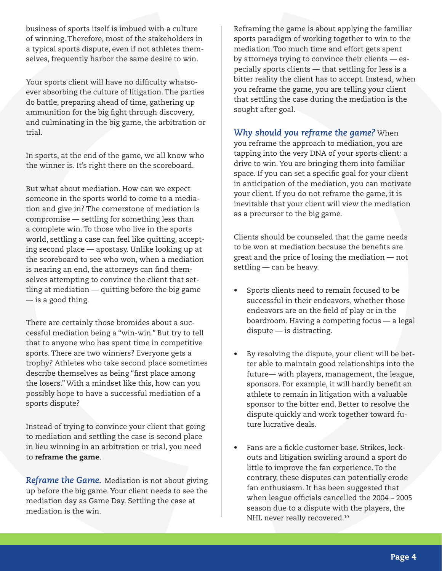business of sports itself is imbued with a culture of winning. Therefore, most of the stakeholders in a typical sports dispute, even if not athletes themselves, frequently harbor the same desire to win.

Your sports client will have no difficulty whatsoever absorbing the culture of litigation. The parties do battle, preparing ahead of time, gathering up ammunition for the big fight through discovery, and culminating in the big game, the arbitration or trial.

In sports, at the end of the game, we all know who the winner is. It's right there on the scoreboard.

But what about mediation. How can we expect someone in the sports world to come to a mediation and give in? The cornerstone of mediation is compromise — settling for something less than a complete win. To those who live in the sports world, settling a case can feel like quitting, accepting second place — apostasy. Unlike looking up at the scoreboard to see who won, when a mediation is nearing an end, the attorneys can find themselves attempting to convince the client that settling at mediation — quitting before the big game — is a good thing.

There are certainly those bromides about a successful mediation being a "win-win." But try to tell that to anyone who has spent time in competitive sports. There are two winners? Everyone gets a trophy? Athletes who take second place sometimes describe themselves as being "first place among the losers." With a mindset like this, how can you possibly hope to have a successful mediation of a sports dispute?

Instead of trying to convince your client that going to mediation and settling the case is second place in lieu winning in an arbitration or trial, you need to reframe the game.

*Reframe the Game.* Mediation is not about giving up before the big game. Your client needs to see the mediation day as Game Day. Settling the case at mediation is the win.

Reframing the game is about applying the familiar sports paradigm of working together to win to the mediation. Too much time and effort gets spent by attorneys trying to convince their clients — especially sports clients — that settling for less is a bitter reality the client has to accept. Instead, when you reframe the game, you are telling your client that settling the case during the mediation is the sought after goal.

*Why should you reframe the game?* When you reframe the approach to mediation, you are tapping into the very DNA of your sports client: a drive to win. You are bringing them into familiar space. If you can set a specific goal for your client in anticipation of the mediation, you can motivate your client. If you do not reframe the game, it is inevitable that your client will view the mediation as a precursor to the big game.

Clients should be counseled that the game needs to be won at mediation because the benefits are great and the price of losing the mediation — not settling — can be heavy.

- Sports clients need to remain focused to be successful in their endeavors, whether those endeavors are on the field of play or in the boardroom. Having a competing focus — a legal dispute — is distracting.
- By resolving the dispute, your client will be better able to maintain good relationships into the future— with players, management, the league, sponsors. For example, it will hardly benefit an athlete to remain in litigation with a valuable sponsor to the bitter end. Better to resolve the dispute quickly and work together toward future lucrative deals.
- Fans are a fickle customer base. Strikes, lockouts and litigation swirling around a sport do little to improve the fan experience. To the contrary, these disputes can potentially erode fan enthusiasm. It has been suggested that when league officials cancelled the 2004 – 2005 season due to a dispute with the players, the NHL never really recovered.<sup>10</sup>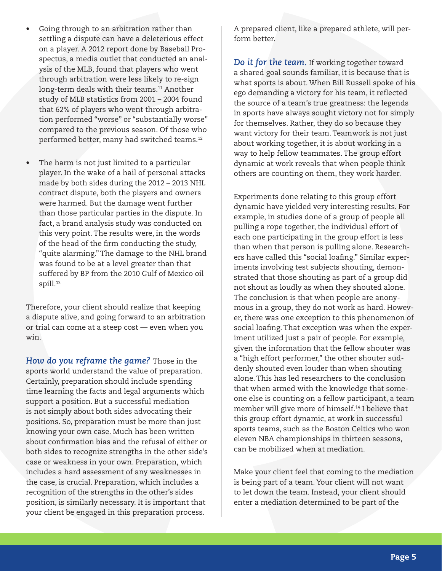- Going through to an arbitration rather than settling a dispute can have a deleterious effect on a player. A 2012 report done by Baseball Prospectus, a media outlet that conducted an analysis of the MLB, found that players who went through arbitration were less likely to re-sign long-term deals with their teams.<sup>11</sup> Another study of MLB statistics from 2001 – 2004 found that 62% of players who went through arbitration performed "worse" or "substantially worse" compared to the previous season. Of those who performed better, many had switched teams.12
- The harm is not just limited to a particular player. In the wake of a hail of personal attacks made by both sides during the 2012 – 2013 NHL contract dispute, both the players and owners were harmed. But the damage went further than those particular parties in the dispute. In fact, a brand analysis study was conducted on this very point. The results were, in the words of the head of the firm conducting the study, "quite alarming." The damage to the NHL brand was found to be at a level greater than that suffered by BP from the 2010 Gulf of Mexico oil spill.<sup>13</sup>

Therefore, your client should realize that keeping a dispute alive, and going forward to an arbitration or trial can come at a steep cost — even when you win.

*How do you reframe the game?* Those in the sports world understand the value of preparation. Certainly, preparation should include spending time learning the facts and legal arguments which support a position. But a successful mediation is not simply about both sides advocating their positions. So, preparation must be more than just knowing your own case. Much has been written about confirmation bias and the refusal of either or both sides to recognize strengths in the other side's case or weakness in your own. Preparation, which includes a hard assessment of any weaknesses in the case, is crucial. Preparation, which includes a recognition of the strengths in the other's sides position, is similarly necessary. It is important that your client be engaged in this preparation process.

A prepared client, like a prepared athlete, will perform better

*Do it for the team.* If working together toward a shared goal sounds familiar, it is because that is what sports is about. When Bill Russell spoke of his ego demanding a victory for his team, it reflected the source of a team's true greatness: the legends in sports have always sought victory not for simply for themselves. Rather, they do so because they want victory for their team. Teamwork is not just about working together, it is about working in a way to help fellow teammates. The group effort dynamic at work reveals that when people think others are counting on them, they work harder.

Experiments done relating to this group effort dynamic have yielded very interesting results. For example, in studies done of a group of people all pulling a rope together, the individual effort of each one participating in the group effort is less than when that person is pulling alone. Researchers have called this "social loafing." Similar experiments involving test subjects shouting, demonstrated that those shouting as part of a group did not shout as loudly as when they shouted alone. The conclusion is that when people are anonymous in a group, they do not work as hard. However, there was one exception to this phenomenon of social loafing. That exception was when the experiment utilized just a pair of people. For example, given the information that the fellow shouter was a "high effort performer," the other shouter suddenly shouted even louder than when shouting alone. This has led researchers to the conclusion that when armed with the knowledge that someone else is counting on a fellow participant, a team member will give more of himself.14 I believe that this group effort dynamic, at work in successful sports teams, such as the Boston Celtics who won eleven NBA championships in thirteen seasons, can be mobilized when at mediation.

Make your client feel that coming to the mediation is being part of a team. Your client will not want to let down the team. Instead, your client should enter a mediation determined to be part of the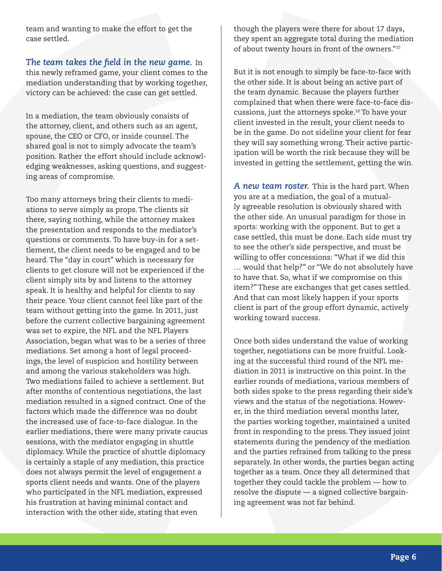team and wanting to make the effort to get the case settled.

*The team takes the field in the new game.* In this newly reframed game, your client comes to the mediation understanding that by working together, victory can be achieved: the case can get settled.

In a mediation, the team obviously consists of the attorney, client, and others such as an agent, spouse, the CEO or CFO, or inside counsel. The shared goal is not to simply advocate the team's position. Rather the effort should include acknowledging weaknesses, asking questions, and suggesting areas of compromise.

Too many attorneys bring their clients to mediations to serve simply as props. The clients sit there, saying nothing, while the attorney makes the presentation and responds to the mediator's questions or comments. To have buy-in for a settlement, the client needs to be engaged and to be heard. The "day in court" which is necessary for clients to get closure will not be experienced if the client simply sits by and listens to the attorney speak. It is healthy and helpful for clients to say their peace. Your client cannot feel like part of the team without getting into the game. In 2011, just before the current collective bargaining agreement was set to expire, the NFL and the NFL Players Association, began what was to be a series of three mediations. Set among a host of legal proceedings, the level of suspicion and hostility between and among the various stakeholders was high. Two mediations failed to achieve a settlement. But after months of contentious negotiations, the last mediation resulted in a signed contract. One of the factors which made the difference was no doubt the increased use of face-to-face dialogue. In the earlier mediations, there were many private caucus sessions, with the mediator engaging in shuttle diplomacy. While the practice of shuttle diplomacy is certainly a staple of any mediation, this practice does not always permit the level of engagement a sports client needs and wants. One of the players who participated in the NFL mediation, expressed his frustration at having minimal contact and interaction with the other side, stating that even

though the players were there for about 17 days, they spent an aggregate total during the mediation of about twenty hours in front of the owners."15

But it is not enough to simply be face-to-face with the other side. It is about being an active part of the team dynamic. Because the players further complained that when there were face-to-face discussions, just the attorneys spoke.16 To have your client invested in the result, your client needs to be in the game. Do not sideline your client for fear they will say something wrong. Their active participation will be worth the risk because they will be invested in getting the settlement, getting the win.

*A new team roster.* This is the hard part. When you are at a mediation, the goal of a mutually agreeable resolution is obviously shared with the other side. An unusual paradigm for those in sports: working with the opponent. But to get a case settled, this must be done. Each side must try to see the other's side perspective, and must be willing to offer concessions: "What if we did this … would that help?" or "We do not absolutely have to have that. So, what if we compromise on this item?" These are exchanges that get cases settled. And that can most likely happen if your sports client is part of the group effort dynamic, actively working toward success.

Once both sides understand the value of working together, negotiations can be more fruitful. Looking at the successful third round of the NFL mediation in 2011 is instructive on this point. In the earlier rounds of mediations, various members of both sides spoke to the press regarding their side's views and the status of the negotiations. However, in the third mediation several months later, the parties working together, maintained a united front in responding to the press. They issued joint statements during the pendency of the mediation and the parties refrained from talking to the press separately. In other words, the parties began acting together as a team. Once they all determined that together they could tackle the problem — how to resolve the dispute — a signed collective bargaining agreement was not far behind.